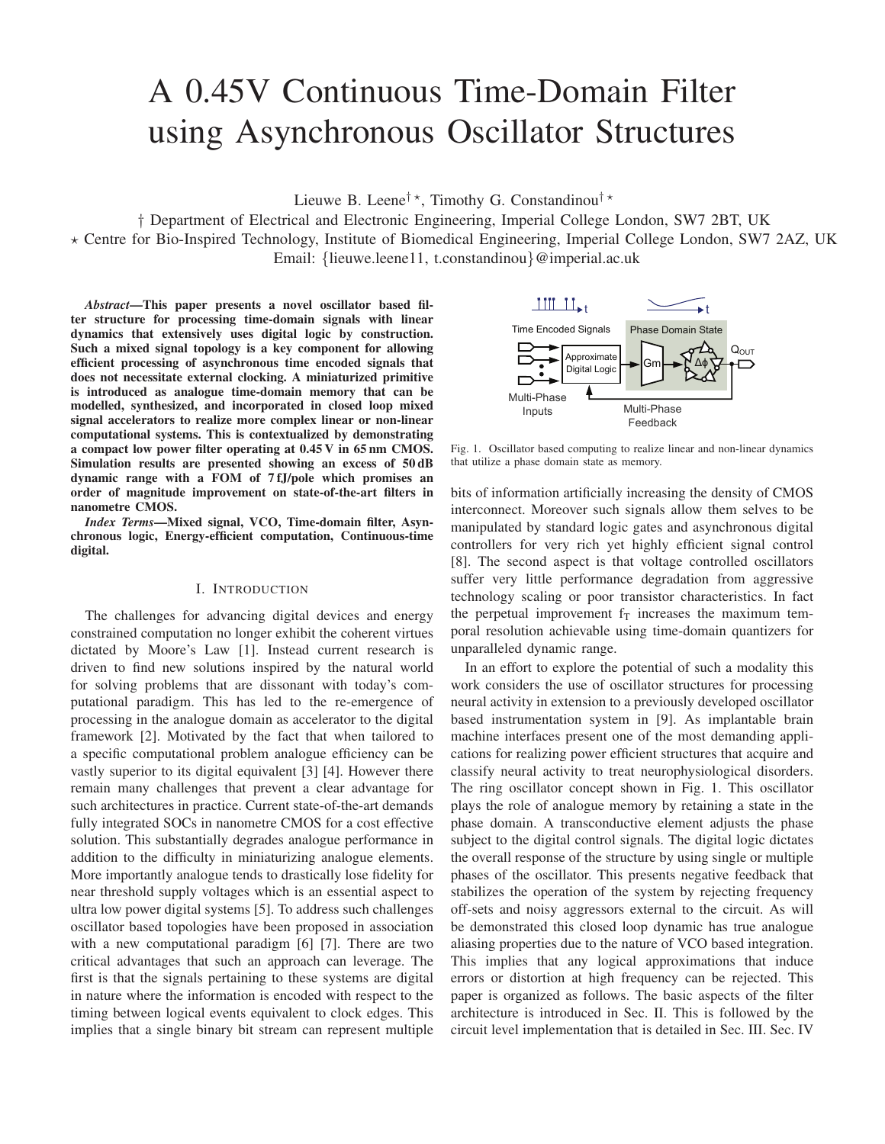# A 0.45V Continuous Time-Domain Filter using Asynchronous Oscillator Structures

Lieuwe B. Leene<sup>†</sup>\*, Timothy G. Constandinou<sup>†</sup>\*

† Department of Electrical and Electronic Engineering, Imperial College London, SW7 2BT, UK - Centre for Bio-Inspired Technology, Institute of Biomedical Engineering, Imperial College London, SW7 2AZ, UK Email: {lieuwe.leene11, t.constandinou}@imperial.ac.uk

*Abstract*—This paper presents a novel oscillator based filter structure for processing time-domain signals with linear dynamics that extensively uses digital logic by construction. Such a mixed signal topology is a key component for allowing efficient processing of asynchronous time encoded signals that does not necessitate external clocking. A miniaturized primitive is introduced as analogue time-domain memory that can be modelled, synthesized, and incorporated in closed loop mixed signal accelerators to realize more complex linear or non-linear computational systems. This is contextualized by demonstrating a compact low power filter operating at 0.45 V in 65 nm CMOS. Simulation results are presented showing an excess of 50 dB dynamic range with a FOM of 7 fJ/pole which promises an order of magnitude improvement on state-of-the-art filters in nanometre CMOS.

*Index Terms*—Mixed signal, VCO, Time-domain filter, Asynchronous logic, Energy-efficient computation, Continuous-time digital.

## I. INTRODUCTION

The challenges for advancing digital devices and energy constrained computation no longer exhibit the coherent virtues dictated by Moore's Law [1]. Instead current research is driven to find new solutions inspired by the natural world for solving problems that are dissonant with today's computational paradigm. This has led to the re-emergence of processing in the analogue domain as accelerator to the digital framework [2]. Motivated by the fact that when tailored to a specific computational problem analogue efficiency can be vastly superior to its digital equivalent [3] [4]. However there remain many challenges that prevent a clear advantage for such architectures in practice. Current state-of-the-art demands fully integrated SOCs in nanometre CMOS for a cost effective solution. This substantially degrades analogue performance in addition to the difficulty in miniaturizing analogue elements. More importantly analogue tends to drastically lose fidelity for near threshold supply voltages which is an essential aspect to ultra low power digital systems [5]. To address such challenges oscillator based topologies have been proposed in association with a new computational paradigm [6] [7]. There are two critical advantages that such an approach can leverage. The first is that the signals pertaining to these systems are digital in nature where the information is encoded with respect to the timing between logical events equivalent to clock edges. This implies that a single binary bit stream can represent multiple



Fig. 1. Oscillator based computing to realize linear and non-linear dynamics that utilize a phase domain state as memory.

bits of information artificially increasing the density of CMOS interconnect. Moreover such signals allow them selves to be manipulated by standard logic gates and asynchronous digital controllers for very rich yet highly efficient signal control [8]. The second aspect is that voltage controlled oscillators suffer very little performance degradation from aggressive technology scaling or poor transistor characteristics. In fact the perpetual improvement  $f<sub>T</sub>$  increases the maximum temporal resolution achievable using time-domain quantizers for unparalleled dynamic range.

In an effort to explore the potential of such a modality this work considers the use of oscillator structures for processing neural activity in extension to a previously developed oscillator based instrumentation system in [9]. As implantable brain machine interfaces present one of the most demanding applications for realizing power efficient structures that acquire and classify neural activity to treat neurophysiological disorders. The ring oscillator concept shown in Fig. 1. This oscillator plays the role of analogue memory by retaining a state in the phase domain. A transconductive element adjusts the phase subject to the digital control signals. The digital logic dictates the overall response of the structure by using single or multiple phases of the oscillator. This presents negative feedback that stabilizes the operation of the system by rejecting frequency off-sets and noisy aggressors external to the circuit. As will be demonstrated this closed loop dynamic has true analogue aliasing properties due to the nature of VCO based integration. This implies that any logical approximations that induce errors or distortion at high frequency can be rejected. This paper is organized as follows. The basic aspects of the filter architecture is introduced in Sec. II. This is followed by the circuit level implementation that is detailed in Sec. III. Sec. IV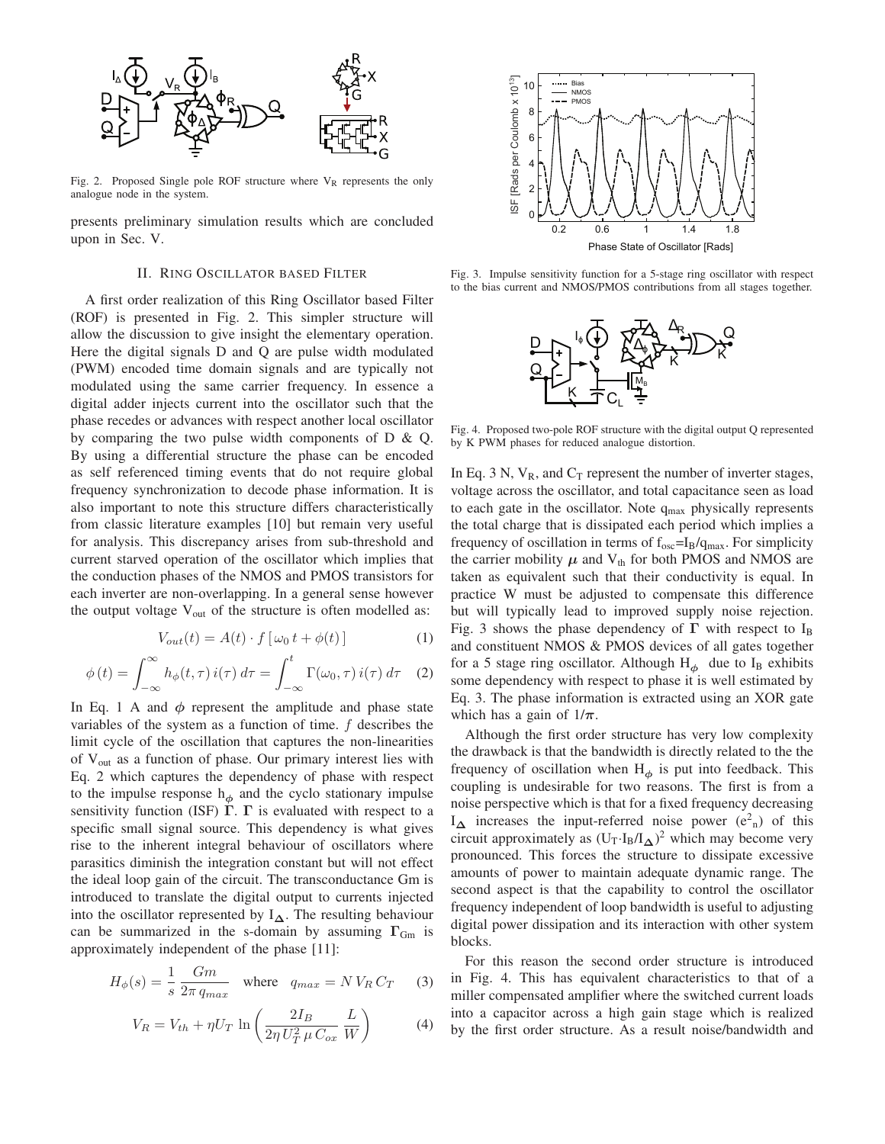

Fig. 2. Proposed Single pole ROF structure where  $V_R$  represents the only analogue node in the system.

presents preliminary simulation results which are concluded upon in Sec. V.

### II. RING OSCILLATOR BASED FILTER

A first order realization of this Ring Oscillator based Filter (ROF) is presented in Fig. 2. This simpler structure will allow the discussion to give insight the elementary operation. Here the digital signals D and Q are pulse width modulated (PWM) encoded time domain signals and are typically not modulated using the same carrier frequency. In essence a digital adder injects current into the oscillator such that the phase recedes or advances with respect another local oscillator by comparing the two pulse width components of  $D \& Q$ . By using a differential structure the phase can be encoded as self referenced timing events that do not require global frequency synchronization to decode phase information. It is also important to note this structure differs characteristically from classic literature examples [10] but remain very useful for analysis. This discrepancy arises from sub-threshold and current starved operation of the oscillator which implies that the conduction phases of the NMOS and PMOS transistors for each inverter are non-overlapping. In a general sense however the output voltage  $V_{out}$  of the structure is often modelled as:

$$
V_{out}(t) = A(t) \cdot f\left[\omega_0 t + \phi(t)\right]
$$
 (1)

$$
\phi(t) = \int_{-\infty}^{\infty} h_{\phi}(t, \tau) i(\tau) d\tau = \int_{-\infty}^{t} \Gamma(\omega_0, \tau) i(\tau) d\tau \quad (2)
$$

In Eq. 1 A and  $\phi$  represent the amplitude and phase state variables of the system as a function of time. f describes the limit cycle of the oscillation that captures the non-linearities of Vout as a function of phase. Our primary interest lies with Eq. 2 which captures the dependency of phase with respect to the impulse response  $h_{\phi}$  and the cyclo stationary impulse sensitivity function (ISF) **Γ**. **Γ** is evaluated with respect to a specific small signal source. This dependency is what gives rise to the inherent integral behaviour of oscillators where parasitics diminish the integration constant but will not effect the ideal loop gain of the circuit. The transconductance Gm is introduced to translate the digital output to currents injected into the oscillator represented by  $I_{\Delta}$ . The resulting behaviour can be summarized in the s-domain by assuming  $\Gamma_{Gm}$  is approximately independent of the phase [11]:

$$
H_{\phi}(s) = \frac{1}{s} \frac{Gm}{2\pi q_{max}} \quad \text{where} \quad q_{max} = N V_R C_T \tag{3}
$$

$$
V_R = V_{th} + \eta U_T \ln\left(\frac{2I_B}{2\eta U_T^2 \mu C_{ox}} \frac{L}{W}\right)
$$
 (4)



Fig. 3. Impulse sensitivity function for a 5-stage ring oscillator with respect to the bias current and NMOS/PMOS contributions from all stages together.



Fig. 4. Proposed two-pole ROF structure with the digital output Q represented by K PWM phases for reduced analogue distortion.

In Eq. 3 N,  $V_R$ , and  $C_T$  represent the number of inverter stages, voltage across the oscillator, and total capacitance seen as load to each gate in the oscillator. Note  $q_{max}$  physically represents the total charge that is dissipated each period which implies a frequency of oscillation in terms of  $f_{osc} = I_B/q_{max}$ . For simplicity the carrier mobility  $\mu$  and  $V_{th}$  for both PMOS and NMOS are taken as equivalent such that their conductivity is equal. In practice W must be adjusted to compensate this difference but will typically lead to improved supply noise rejection. Fig. 3 shows the phase dependency of  $\Gamma$  with respect to I<sub>B</sub> and constituent NMOS & PMOS devices of all gates together for a 5 stage ring oscillator. Although  $H_{\phi}$  due to I<sub>B</sub> exhibits some dependency with respect to phase it is well estimated by Eq. 3. The phase information is extracted using an XOR gate which has a gain of  $1/\pi$ .

Although the first order structure has very low complexity the drawback is that the bandwidth is directly related to the the frequency of oscillation when  $H_{\phi}$  is put into feedback. This coupling is undesirable for two reasons. The first is from a noise perspective which is that for a fixed frequency decreasing  $I_{\Delta}$  increases the input-referred noise power ( $e^2$ <sub>n</sub>) of this circuit approximately as  $(U_T \cdot I_B / I_{\Delta})^2$  which may become very pronounced. This forces the structure to dissipate excessive amounts of power to maintain adequate dynamic range. The second aspect is that the capability to control the oscillator frequency independent of loop bandwidth is useful to adjusting digital power dissipation and its interaction with other system blocks.

For this reason the second order structure is introduced in Fig. 4. This has equivalent characteristics to that of a miller compensated amplifier where the switched current loads into a capacitor across a high gain stage which is realized by the first order structure. As a result noise/bandwidth and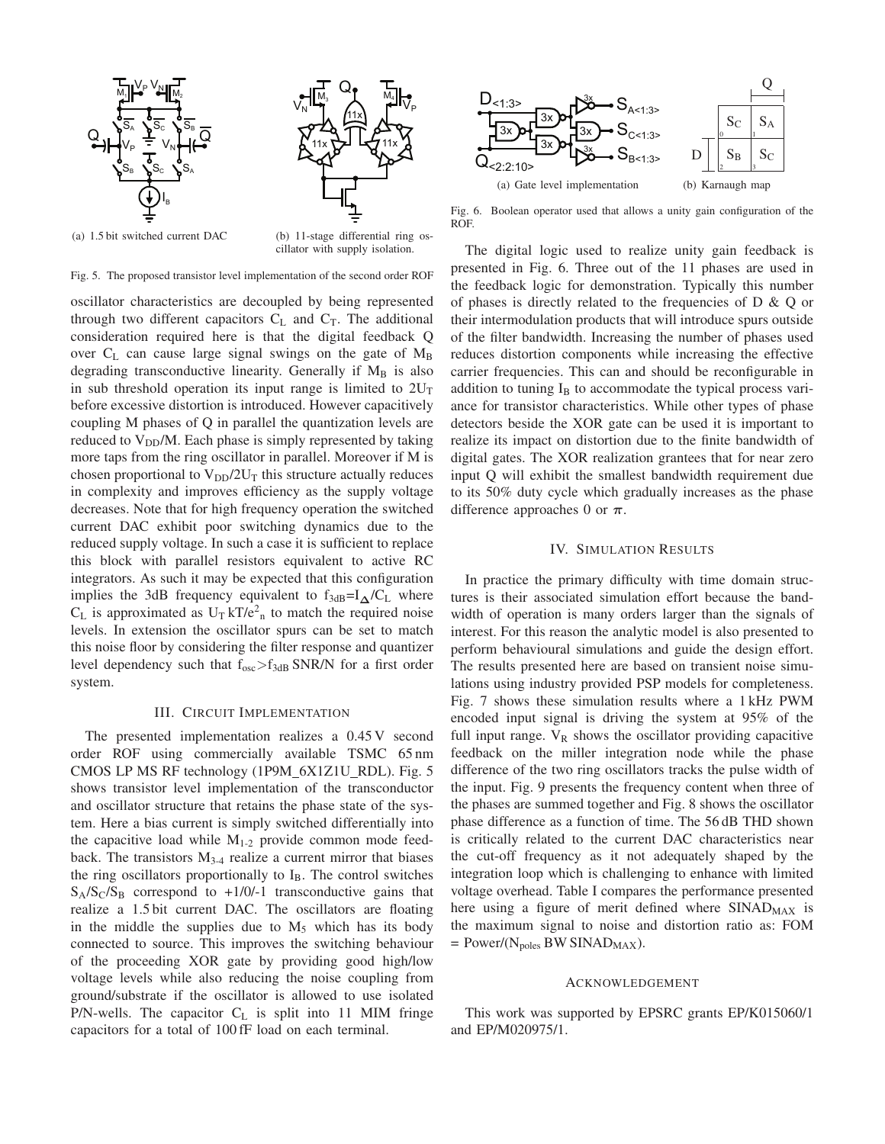

Fig. 5. The proposed transistor level implementation of the second order ROF

oscillator characteristics are decoupled by being represented through two different capacitors  $C_L$  and  $C_T$ . The additional consideration required here is that the digital feedback Q over  $C_L$  can cause large signal swings on the gate of  $M_B$ degrading transconductive linearity. Generally if  $M_B$  is also in sub threshold operation its input range is limited to  $2U_T$ before excessive distortion is introduced. However capacitively coupling M phases of Q in parallel the quantization levels are reduced to  $V_{DD}/M$ . Each phase is simply represented by taking more taps from the ring oscillator in parallel. Moreover if M is chosen proportional to  $V_{DD}/2U_T$  this structure actually reduces in complexity and improves efficiency as the supply voltage decreases. Note that for high frequency operation the switched current DAC exhibit poor switching dynamics due to the reduced supply voltage. In such a case it is sufficient to replace this block with parallel resistors equivalent to active RC integrators. As such it may be expected that this configuration implies the 3dB frequency equivalent to  $f_{3dB} = I_{\Delta}/C_{L}$  where  $C_L$  is approximated as  $U_T kT/e^2$  to match the required noise levels. In extension the oscillator spurs can be set to match this noise floor by considering the filter response and quantizer level dependency such that  $f_{osc} > f_{3dB}$  SNR/N for a first order system.

#### III. CIRCUIT IMPLEMENTATION

The presented implementation realizes a 0.45 V second order ROF using commercially available TSMC 65 nm CMOS LP MS RF technology (1P9M 6X1Z1U RDL). Fig. 5 shows transistor level implementation of the transconductor and oscillator structure that retains the phase state of the system. Here a bias current is simply switched differentially into the capacitive load while  $M<sub>1-2</sub>$  provide common mode feedback. The transistors  $M<sub>3-4</sub>$  realize a current mirror that biases the ring oscillators proportionally to  $I_B$ . The control switches  $S_A/S_C/S_B$  correspond to +1/0/-1 transconductive gains that realize a 1.5 bit current DAC. The oscillators are floating in the middle the supplies due to  $M_5$  which has its body connected to source. This improves the switching behaviour of the proceeding XOR gate by providing good high/low voltage levels while also reducing the noise coupling from ground/substrate if the oscillator is allowed to use isolated P/N-wells. The capacitor  $C_L$  is split into 11 MIM fringe capacitors for a total of 100 fF load on each terminal.



Fig. 6. Boolean operator used that allows a unity gain configuration of the ROF.

The digital logic used to realize unity gain feedback is presented in Fig. 6. Three out of the 11 phases are used in the feedback logic for demonstration. Typically this number of phases is directly related to the frequencies of  $D \& Q$  or their intermodulation products that will introduce spurs outside of the filter bandwidth. Increasing the number of phases used reduces distortion components while increasing the effective carrier frequencies. This can and should be reconfigurable in addition to tuning  $I_B$  to accommodate the typical process variance for transistor characteristics. While other types of phase detectors beside the XOR gate can be used it is important to realize its impact on distortion due to the finite bandwidth of digital gates. The XOR realization grantees that for near zero input Q will exhibit the smallest bandwidth requirement due to its 50% duty cycle which gradually increases as the phase difference approaches 0 or  $\pi$ .

# IV. SIMULATION RESULTS

In practice the primary difficulty with time domain structures is their associated simulation effort because the bandwidth of operation is many orders larger than the signals of interest. For this reason the analytic model is also presented to perform behavioural simulations and guide the design effort. The results presented here are based on transient noise simulations using industry provided PSP models for completeness. Fig. 7 shows these simulation results where a 1 kHz PWM encoded input signal is driving the system at 95% of the full input range.  $V_R$  shows the oscillator providing capacitive feedback on the miller integration node while the phase difference of the two ring oscillators tracks the pulse width of the input. Fig. 9 presents the frequency content when three of the phases are summed together and Fig. 8 shows the oscillator phase difference as a function of time. The 56 dB THD shown is critically related to the current DAC characteristics near the cut-off frequency as it not adequately shaped by the integration loop which is challenging to enhance with limited voltage overhead. Table I compares the performance presented here using a figure of merit defined where  $SIMAD_{MAX}$  is the maximum signal to noise and distortion ratio as: FOM  $=$  Power/(N<sub>poles</sub> BW SINAD<sub>MAX</sub>).

#### ACKNOWLEDGEMENT

This work was supported by EPSRC grants EP/K015060/1 and EP/M020975/1.